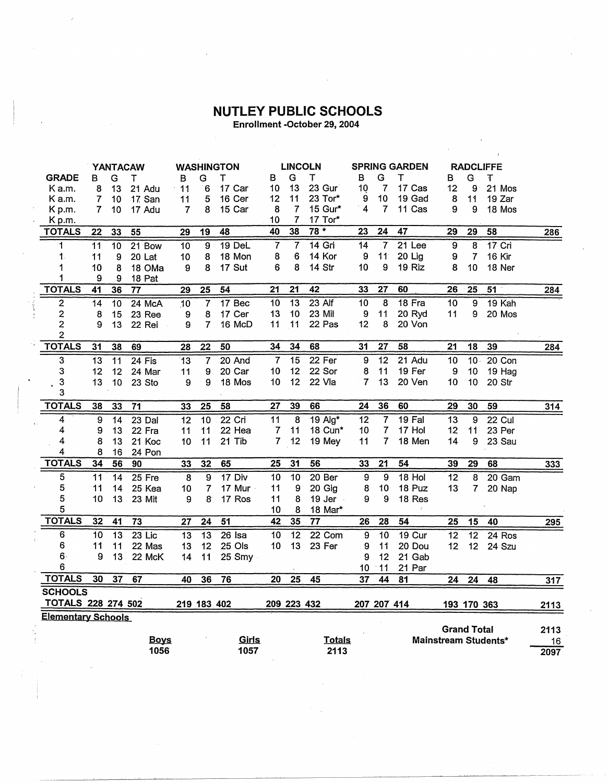## NUTLEY PUBLIC SCHOOLS

Enrollment -October 29, 2004

|                           | YANTACAW        |                 | <b>WASHINGTON</b> |                 | <b>LINCOLN</b>          |                   |                 | <b>SPRING GARDEN</b> |                         |                  | <b>RADCLIFFE</b> |                 |                    |                 |                      |       |
|---------------------------|-----------------|-----------------|-------------------|-----------------|-------------------------|-------------------|-----------------|----------------------|-------------------------|------------------|------------------|-----------------|--------------------|-----------------|----------------------|-------|
| <b>GRADE</b>              | в               | G               | т                 | в               | G                       | т                 | в               | G                    | Т                       | в                | G                | т               | в                  | G               | T                    |       |
| K a.m.                    | 8               | 13              | 21 Adu            | 11              | 6                       | 17 Car            | 10              | 13                   | 23 Gur                  | 10               | $\overline{7}$   | 17 Cas          | 12                 | 9               | 21 Mos               |       |
| K a.m.                    | 7               | 10              | 17. San           | 11              | 5                       | 16 Cer            | 12              | 11                   | 23 Tor*                 | 9                | 10               | 19 Gad          | 8                  | 11              | 19 Zar               |       |
| Kp.m.                     | 7               | 10              | 17 Adu            | 7               | 8                       | 15 Car            | 8               | $\overline{7}$       | 15 Gur*                 | 4                | 7                | 11 Cas          | 9                  | 9               | 18 Mos               |       |
| Kp.m.                     |                 |                 |                   |                 |                         |                   | 10              | 7                    | 17 Tor*                 |                  |                  |                 |                    |                 |                      |       |
| <b>TOTALS</b>             | 22              | 33              | 55                | 29              | 19                      | 48                | 40              | 38                   | $78*$                   | 23               | $\overline{24}$  | 47              | $\overline{29}$    | 29              | 58                   | 286   |
| 1                         | 11              | 10              | 21 Bow            | 10              | 9                       | $19$ DeL          | 7               | 7                    | $14$ Gri                | 14               | 7                | 21 Lee          | 9                  | 8               | 17 Cri               |       |
| $\mathbf 1$               | 11              | 9               | 20 Lat            | 10              | 8                       | 18 Mon            | 8               | 6                    | 14 Kor                  | 9                | 11               | $20$ Lig        | 9                  | $\overline{7}$  | 16 Kir               |       |
| 1                         | 10              | 8               | 18 OMa            | 9               | 8                       | 17 Sut            | 6               | 8                    | 14 Str                  | 10               | 9                | 19 Riz          | 8                  | 10              | 18 Ner               |       |
| 1                         | 9               | 9               | 18 Pat            |                 |                         |                   |                 |                      |                         |                  |                  |                 |                    |                 |                      |       |
| <b>TOTALS</b>             | 41              | 36              | 77                | 29              | $\overline{25}$         | $\overline{54}$   | 21              | 21                   | 42                      | 33               | 27               | 60              | 26                 | 25              | 51                   | 284   |
| $\overline{c}$            | 14              | 10              | 24 McA            | $\overline{10}$ | $\overline{\mathbf{7}}$ | 17 <sub>Bec</sub> | $\overline{10}$ | $\overline{13}$      | $23$ Alf                | 10               | 8                | $18$ Fra        | 10                 | 9               | $19$ Kah             |       |
| $\overline{\mathbf{c}}$   | 8               | 15              | 23 Ree            | 9               | 8                       | 17 Cer            | 13              | 10                   | 23 Mil                  | 9                | 11               | 20 Ryd          | 11                 | 9               | 20 Mos               |       |
| $\overline{\mathbf{c}}$   | 9               | 13              | 22 Rei            | 9               | 7                       | 16 McD            | 11              | 11                   | 22 Pas                  | 12               | 8                | 20 Von          |                    |                 |                      |       |
| $\overline{\mathbf{c}}$   |                 |                 |                   |                 |                         |                   |                 |                      |                         |                  |                  |                 |                    |                 |                      |       |
| <b>TOTALS</b>             | 31              | 38              | 69                | 28              | 22                      | 50                | 34              | 34                   | 68                      | 31               | 27               | 58              | 21                 | 18              | 39                   | 284   |
| 3                         | $\overline{13}$ | $\overline{11}$ | $24$ Fis          | $\overline{13}$ | $\overline{7}$          | $20$ And          | $\overline{7}$  | $\overline{15}$      | 22 Fer                  | 9                | 12               | $21$ Adu        | 10                 | 10.             | $20$ Con             |       |
| 3                         | 12              | 12              | 24 Mar            | 11              | 9                       | 20 Car            | 10              | 12                   | 22 Sor                  | 8                | 11               | 19 Fer          | 9                  | 10              | 19 Hag               |       |
| 3                         | 13              | 10              | 23 Sto            | 9               | 9                       | 18 Mos            | 10              | 12                   | 22 Vla                  | $\overline{7}$   | 13               | 20 Ven          | 10                 | 10              | 20 Str               |       |
| 3                         |                 |                 |                   |                 |                         |                   |                 |                      |                         |                  |                  |                 |                    |                 |                      |       |
| <b>TOTALS</b>             | 38              | 33              | $\overline{71}$   | 33              | $\overline{25}$         | $\overline{58}$   | 27              | 39                   | 66                      | 24               | 36               | 60              | 29                 | 30              | $\overline{59}$      | $314$ |
| 4                         | 9               | $\overline{14}$ | $23$ Dal          | $\overline{12}$ | $\overline{10}$         | 22 Cri            | $\overline{11}$ | $\overline{8}$       | $19$ Alg*               | 12               | $\overline{7}$   | $19$ Fal        | 13                 | 9               | $22$ Cul             |       |
| 4                         | 9               | 13              | 22 Fra            | 11              | 11                      | 22 Hea            | 7               | 11                   | 18 Cun*                 | 10               | $\overline{7}$   | 17 Hol          | 12                 | 11              | 23 Per               |       |
| 4                         | 8               | 13              | 21 Koc            | 10              | 11                      | 21 Tib            | $\overline{7}$  | 12                   | 19 Mey                  | 11               | 7                | 18 Men          | 14                 | 9               | 23 Sau               |       |
| 4                         | 8               | 16              | 24 Pon            |                 |                         |                   |                 |                      |                         |                  |                  |                 |                    |                 |                      |       |
| <b>TOTALS</b>             | 34              | 56              | 90                | 33              | 32                      | 65                | 25              | 31                   | 56                      | 33               | 21               | $\overline{54}$ | 39                 | $\overline{29}$ | 68                   | 333   |
| 5                         | $\overline{11}$ | $\overline{14}$ | $25$ Fre          | $\overline{8}$  | $\overline{9}$          | $17$ Div          | 10              | 10                   | 20 <sub>ber</sub>       | $\boldsymbol{9}$ | 9                | $18$ Hol        | $\overline{12}$    | 8               | $20$ Gam             |       |
| 5                         | 11              | 14              | 25 Kea            | 10              | $\overline{7}$          | 17 Mur            | 11              | 9                    | 20 Gig                  | 8                | 10               | 18 Puz          | 13                 | $\overline{7}$  | 20 Nap               |       |
| 5                         | 10              | 13              | 23 Mit            | 9               | 8                       | 17 Ros            | 11              | 8                    | $19$ Jer $\blacksquare$ | 9                | 9                | 18 Res          |                    |                 |                      |       |
| 5                         |                 |                 |                   |                 |                         |                   | 10              | 8                    | 18 Mar*                 |                  |                  |                 |                    |                 |                      |       |
| <b>TOTALS</b>             | 32              | 41              | 73                | $\overline{27}$ | 24                      | $\overline{51}$   | 42              | 35                   | $\overline{77}$         | 26               | 28               | 54              | 25                 | 15              | 40                   | 295   |
| 6                         | $\overline{10}$ | $\overline{13}$ | $23$ Lic          | $\overline{13}$ | $\overline{13}$         | $26$ Isa          | 10              | $\overline{12}$      | $22$ Com                | 9                | $\overline{10}$  | <b>19 Cur</b>   | 12                 | $\overline{12}$ | $24$ Ros             |       |
| 6                         | 11              | 11              | 22 Mas            | 13              | 12                      | 25 Ols            | 10              | 13                   | 23 Fer                  | 9                | 11               | 20 Dou          | 12                 | 12              | 24 Szu               |       |
| $6 -$                     | 9               | 13              | 22 McK            | 14              | 11                      | $25$ Smy          |                 |                      |                         | 9                | 12               | 21 Gab          |                    |                 |                      |       |
| 6                         |                 |                 |                   |                 |                         |                   |                 |                      |                         | 10               | $-11$            | 21 Par          |                    |                 |                      |       |
| <b>TOTALS</b>             | 30              | 37              | 67                | 40              | 36                      | 76                | 20              | 25                   | 45                      | $\overline{37}$  | 44               | 81              | $2\overline{4}$    | $\overline{24}$ | 48                   | 317   |
| <b>SCHOOLS</b>            |                 |                 |                   |                 |                         |                   |                 |                      |                         |                  |                  |                 |                    |                 |                      |       |
| TOTALS 228 274 502        |                 |                 |                   |                 | 219 183 402             |                   |                 | 209 223 432          |                         |                  | 207 207 414      |                 |                    | 193 170 363     |                      | 2113  |
| <b>Elementary Schools</b> |                 |                 |                   |                 |                         |                   |                 |                      |                         |                  |                  |                 |                    |                 |                      |       |
|                           |                 |                 |                   |                 |                         |                   |                 |                      |                         |                  |                  |                 | <b>Grand Total</b> |                 |                      | 2113  |
|                           |                 |                 | <b>Boys</b>       |                 |                         | Girls             |                 |                      | <b>Totals</b>           |                  |                  |                 |                    |                 | Mainstream Students* | 16    |
|                           |                 |                 | 1056              |                 |                         | 1057              |                 |                      | 2113                    |                  |                  |                 |                    |                 |                      | 2097  |